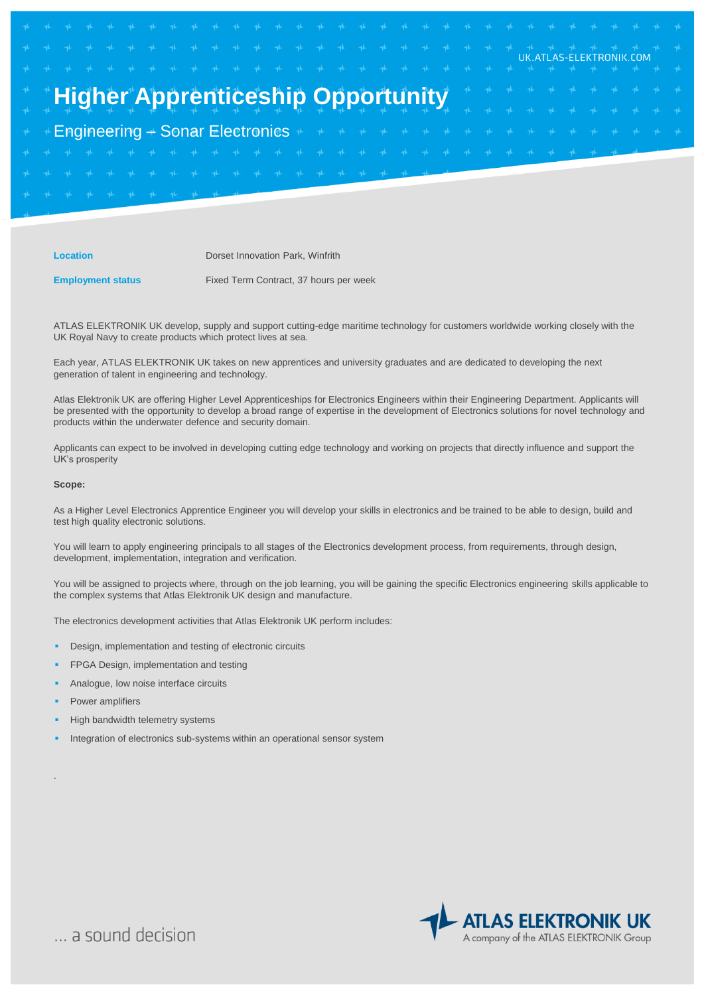# **Higher Apprenticeship Opportun**

Engineering – Sonar Electronics

**Location Dorset Innovation Park, Winfrith** 

**Employment status Fixed Term Contract, 37 hours per week** 

ATLAS ELEKTRONIK UK develop, supply and support cutting-edge maritime technology for customers worldwide working closely with the UK Royal Navy to create products which protect lives at sea.

Each year, ATLAS ELEKTRONIK UK takes on new apprentices and university graduates and are dedicated to developing the next generation of talent in engineering and technology.

Atlas Elektronik UK are offering Higher Level Apprenticeships for Electronics Engineers within their Engineering Department. Applicants will be presented with the opportunity to develop a broad range of expertise in the development of Electronics solutions for novel technology and products within the underwater defence and security domain.

Applicants can expect to be involved in developing cutting edge technology and working on projects that directly influence and support the UK's prosperity

### **Scope:**

As a Higher Level Electronics Apprentice Engineer you will develop your skills in electronics and be trained to be able to design, build and test high quality electronic solutions.

You will learn to apply engineering principals to all stages of the Electronics development process, from requirements, through design, development, implementation, integration and verification.

You will be assigned to projects where, through on the job learning, you will be gaining the specific Electronics engineering skills applicable to the complex systems that Atlas Elektronik UK design and manufacture.

The electronics development activities that Atlas Elektronik UK perform includes:

- Design, implementation and testing of electronic circuits
- FPGA Design, implementation and testing
- Analogue, low noise interface circuits
- Power amplifiers

.

- High bandwidth telemetry systems
- Integration of electronics sub-systems within an operational sensor system



UK.ATLAS-ELEKTRONIK.COM

... a sound decision